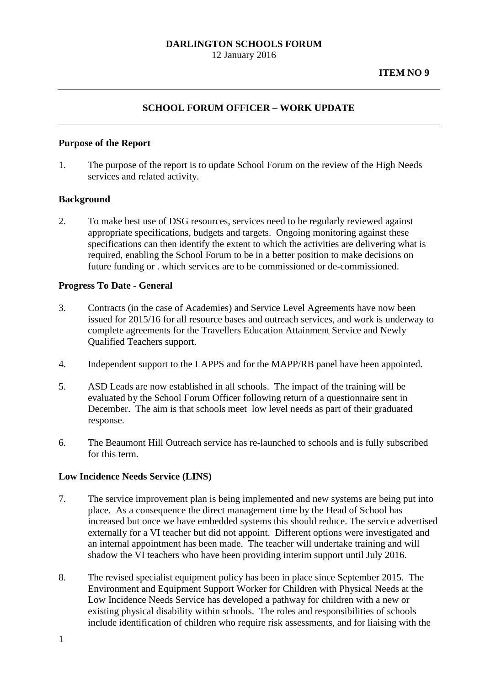## **DARLINGTON SCHOOLS FORUM** 12 January 2016

### **SCHOOL FORUM OFFICER – WORK UPDATE**

#### **Purpose of the Report**

1. The purpose of the report is to update School Forum on the review of the High Needs services and related activity.

#### **Background**

2. To make best use of DSG resources, services need to be regularly reviewed against appropriate specifications, budgets and targets. Ongoing monitoring against these specifications can then identify the extent to which the activities are delivering what is required, enabling the School Forum to be in a better position to make decisions on future funding or . which services are to be commissioned or de-commissioned.

#### **Progress To Date - General**

- 3. Contracts (in the case of Academies) and Service Level Agreements have now been issued for 2015/16 for all resource bases and outreach services, and work is underway to complete agreements for the Travellers Education Attainment Service and Newly Qualified Teachers support.
- 4. Independent support to the LAPPS and for the MAPP/RB panel have been appointed.
- 5. ASD Leads are now established in all schools. The impact of the training will be evaluated by the School Forum Officer following return of a questionnaire sent in December. The aim is that schools meet low level needs as part of their graduated response.
- 6. The Beaumont Hill Outreach service has re-launched to schools and is fully subscribed for this term.

### **Low Incidence Needs Service (LINS)**

- 7. The service improvement plan is being implemented and new systems are being put into place. As a consequence the direct management time by the Head of School has increased but once we have embedded systems this should reduce. The service advertised externally for a VI teacher but did not appoint. Different options were investigated and an internal appointment has been made. The teacher will undertake training and will shadow the VI teachers who have been providing interim support until July 2016.
- 8. The revised specialist equipment policy has been in place since September 2015. The Environment and Equipment Support Worker for Children with Physical Needs at the Low Incidence Needs Service has developed a pathway for children with a new or existing physical disability within schools. The roles and responsibilities of schools include identification of children who require risk assessments, and for liaising with the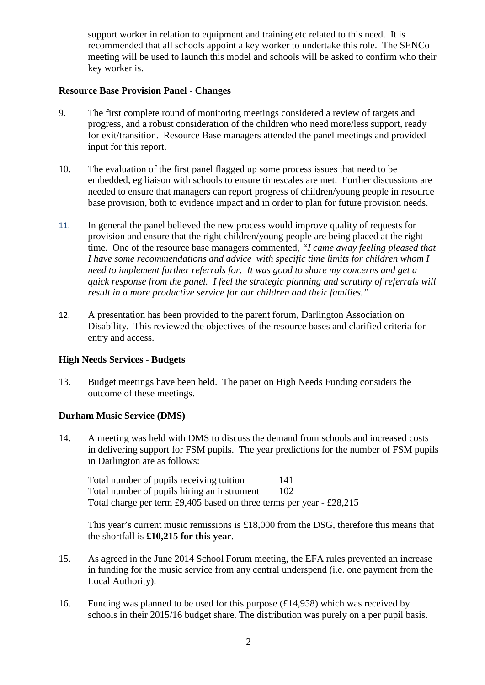support worker in relation to equipment and training etc related to this need. It is recommended that all schools appoint a key worker to undertake this role. The SENCo meeting will be used to launch this model and schools will be asked to confirm who their key worker is.

### **Resource Base Provision Panel - Changes**

- 9. The first complete round of monitoring meetings considered a review of targets and progress, and a robust consideration of the children who need more/less support, ready for exit/transition. Resource Base managers attended the panel meetings and provided input for this report.
- 10. The evaluation of the first panel flagged up some process issues that need to be embedded, eg liaison with schools to ensure timescales are met. Further discussions are needed to ensure that managers can report progress of children/young people in resource base provision, both to evidence impact and in order to plan for future provision needs.
- 11. In general the panel believed the new process would improve quality of requests for provision and ensure that the right children/young people are being placed at the right time. One of the resource base managers commented*, "I came away feeling pleased that I have some recommendations and advice with specific time limits for children whom I need to implement further referrals for. It was good to share my concerns and get a quick response from the panel. I feel the strategic planning and scrutiny of referrals will result in a more productive service for our children and their families."*
- 12. A presentation has been provided to the parent forum, Darlington Association on Disability. This reviewed the objectives of the resource bases and clarified criteria for entry and access.

## **High Needs Services - Budgets**

13. Budget meetings have been held. The paper on High Needs Funding considers the outcome of these meetings.

## **Durham Music Service (DMS)**

14. A meeting was held with DMS to discuss the demand from schools and increased costs in delivering support for FSM pupils. The year predictions for the number of FSM pupils in Darlington are as follows:

Total number of pupils receiving tuition 141 Total number of pupils hiring an instrument 102 Total charge per term £9,405 based on three terms per year - £28,215

This year's current music remissions is £18,000 from the DSG, therefore this means that the shortfall is **£10,215 for this year**.

- 15. As agreed in the June 2014 School Forum meeting, the EFA rules prevented an increase in funding for the music service from any central underspend (i.e. one payment from the Local Authority).
- 16. Funding was planned to be used for this purpose  $(\text{\textsterling}14,958)$  which was received by schools in their 2015/16 budget share. The distribution was purely on a per pupil basis.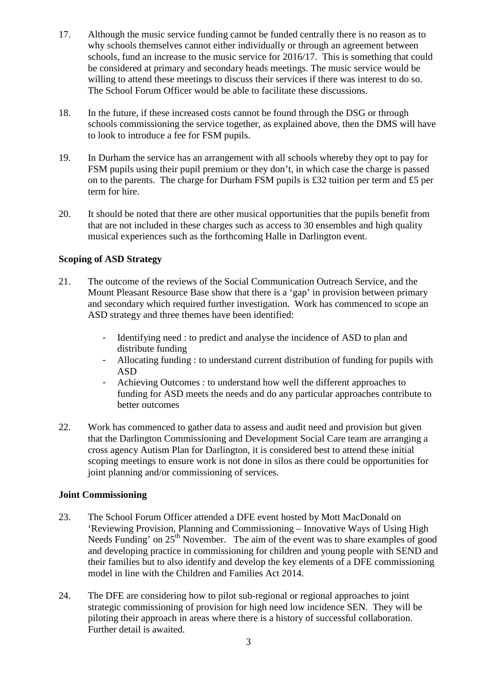- 17. Although the music service funding cannot be funded centrally there is no reason as to why schools themselves cannot either individually or through an agreement between schools, fund an increase to the music service for 2016/17. This is something that could be considered at primary and secondary heads meetings. The music service would be willing to attend these meetings to discuss their services if there was interest to do so. The School Forum Officer would be able to facilitate these discussions.
- 18. In the future, if these increased costs cannot be found through the DSG or through schools commissioning the service together, as explained above, then the DMS will have to look to introduce a fee for FSM pupils.
- 19. In Durham the service has an arrangement with all schools whereby they opt to pay for FSM pupils using their pupil premium or they don't, in which case the charge is passed on to the parents. The charge for Durham FSM pupils is £32 tuition per term and £5 per term for hire.
- 20. It should be noted that there are other musical opportunities that the pupils benefit from that are not included in these charges such as access to 30 ensembles and high quality musical experiences such as the forthcoming Halle in Darlington event.

## **Scoping of ASD Strategy**

- 21. The outcome of the reviews of the Social Communication Outreach Service, and the Mount Pleasant Resource Base show that there is a 'gap' in provision between primary and secondary which required further investigation. Work has commenced to scope an ASD strategy and three themes have been identified:
	- Identifying need : to predict and analyse the incidence of ASD to plan and distribute funding
	- Allocating funding : to understand current distribution of funding for pupils with ASD
	- Achieving Outcomes : to understand how well the different approaches to funding for ASD meets the needs and do any particular approaches contribute to better outcomes
- 22. Work has commenced to gather data to assess and audit need and provision but given that the Darlington Commissioning and Development Social Care team are arranging a cross agency Autism Plan for Darlington, it is considered best to attend these initial scoping meetings to ensure work is not done in silos as there could be opportunities for joint planning and/or commissioning of services.

## **Joint Commissioning**

- 23. The School Forum Officer attended a DFE event hosted by Mott MacDonald on 'Reviewing Provision, Planning and Commissioning – Innovative Ways of Using High Needs Funding' on  $25<sup>th</sup>$  November. The aim of the event was to share examples of good and developing practice in commissioning for children and young people with SEND and their families but to also identify and develop the key elements of a DFE commissioning model in line with the Children and Families Act 2014.
- 24. The DFE are considering how to pilot sub-regional or regional approaches to joint strategic commissioning of provision for high need low incidence SEN. They will be piloting their approach in areas where there is a history of successful collaboration. Further detail is awaited.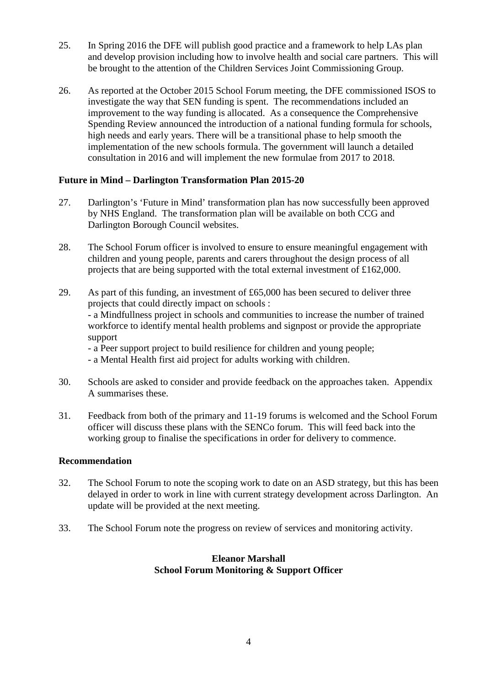- 25. In Spring 2016 the DFE will publish good practice and a framework to help LAs plan and develop provision including how to involve health and social care partners. This will be brought to the attention of the Children Services Joint Commissioning Group.
- 26. As reported at the October 2015 School Forum meeting, the DFE commissioned ISOS to investigate the way that SEN funding is spent. The recommendations included an improvement to the way funding is allocated. As a consequence the Comprehensive Spending Review announced the introduction of a national funding formula for schools, high needs and early years. There will be a transitional phase to help smooth the implementation of the new schools formula. The government will launch a detailed consultation in 2016 and will implement the new formulae from 2017 to 2018.

# **Future in Mind – Darlington Transformation Plan 2015-20**

- 27. Darlington's 'Future in Mind' transformation plan has now successfully been approved by NHS England. The transformation plan will be available on both CCG and Darlington Borough Council websites.
- 28. The School Forum officer is involved to ensure to ensure meaningful engagement with children and young people, parents and carers throughout the design process of all projects that are being supported with the total external investment of £162,000.
- 29. As part of this funding, an investment of £65,000 has been secured to deliver three projects that could directly impact on schools : - a Mindfullness project in schools and communities to increase the number of trained workforce to identify mental health problems and signpost or provide the appropriate support - a Peer support project to build resilience for children and young people; - a Mental Health first aid project for adults working with children.
- 30. Schools are asked to consider and provide feedback on the approaches taken. Appendix A summarises these.
- 31. Feedback from both of the primary and 11-19 forums is welcomed and the School Forum officer will discuss these plans with the SENCo forum. This will feed back into the working group to finalise the specifications in order for delivery to commence.

## **Recommendation**

- 32. The School Forum to note the scoping work to date on an ASD strategy, but this has been delayed in order to work in line with current strategy development across Darlington. An update will be provided at the next meeting.
- 33. The School Forum note the progress on review of services and monitoring activity.

# **Eleanor Marshall School Forum Monitoring & Support Officer**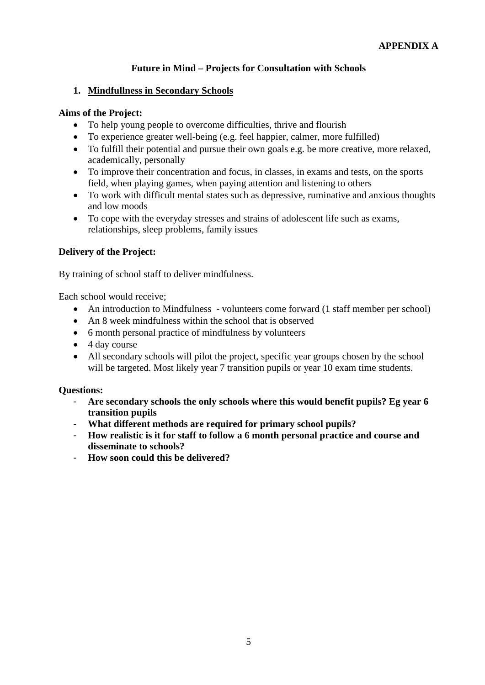# **Future in Mind – Projects for Consultation with Schools**

## **1. Mindfullness in Secondary Schools**

## **Aims of the Project:**

- To help young people to overcome difficulties, thrive and flourish
- To experience greater well-being (e.g. feel happier, calmer, more fulfilled)
- To fulfill their potential and pursue their own goals e.g. be more creative, more relaxed, academically, personally
- To improve their concentration and focus, in classes, in exams and tests, on the sports field, when playing games, when paying attention and listening to others
- To work with difficult mental states such as depressive, ruminative and anxious thoughts and low moods
- To cope with the everyday stresses and strains of adolescent life such as exams, relationships, sleep problems, family issues

## **Delivery of the Project:**

By training of school staff to deliver mindfulness.

Each school would receive;

- An introduction to Mindfulness volunteers come forward (1 staff member per school)
- An 8 week mindfulness within the school that is observed
- 6 month personal practice of mindfulness by volunteers
- 4 day course
- All secondary schools will pilot the project, specific year groups chosen by the school will be targeted. Most likely year 7 transition pupils or year 10 exam time students.

### **Questions:**

- **Are secondary schools the only schools where this would benefit pupils? Eg year 6 transition pupils**
- **What different methods are required for primary school pupils?**
- **How realistic is it for staff to follow a 6 month personal practice and course and disseminate to schools?**
- **How soon could this be delivered?**